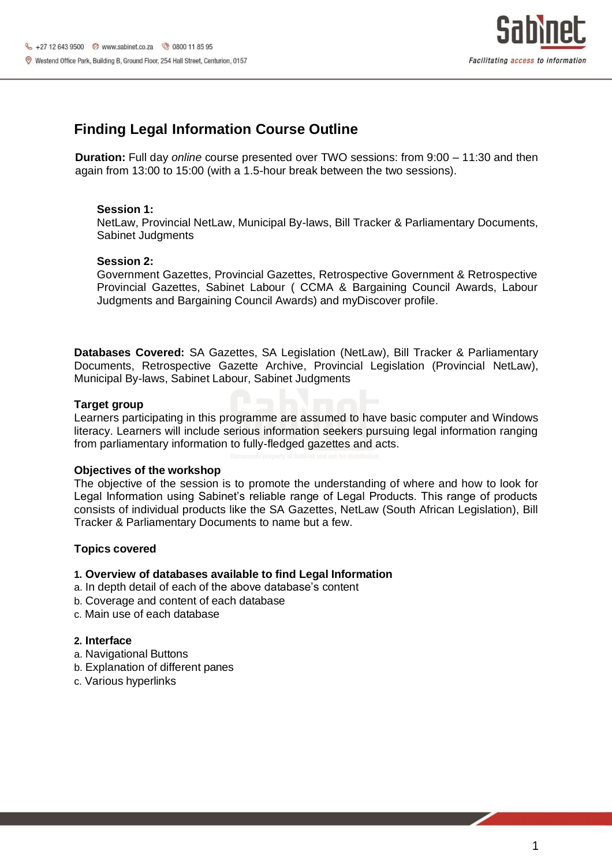

# **Finding Legal Information Course Outline**

**Duration:** Full day *online* course presented over TWO sessions: from 9:00 – 11:30 and then again from 13:00 to 15:00 (with a 1.5-hour break between the two sessions).

## **Session 1:**

NetLaw, Provincial NetLaw, Municipal By-laws, Bill Tracker & Parliamentary Documents, Sabinet Judgments

#### **Session 2:**

Government Gazettes, Provincial Gazettes, Retrospective Government & Retrospective Provincial Gazettes, Sabinet Labour ( CCMA & Bargaining Council Awards, Labour Judgments and Bargaining Council Awards) and myDiscover profile.

**Databases Covered:** SA Gazettes, SA Legislation (NetLaw), Bill Tracker & Parliamentary Documents, Retrospective Gazette Archive, Provincial Legislation (Provincial NetLaw), Municipal By-laws, Sabinet Labour, Sabinet Judgments

## **Target group**

Learners participating in this programme are assumed to have basic computer and Windows literacy. Learners will include serious information seekers pursuing legal information ranging from parliamentary information to fully-fledged gazettes and acts.

#### **Objectives of the workshop**

The objective of the session is to promote the understanding of where and how to look for Legal Information using Sabinet's reliable range of Legal Products. This range of products consists of individual products like the SA Gazettes, NetLaw (South African Legislation), Bill Tracker & Parliamentary Documents to name but a few.

## **Topics covered**

#### **1. Overview of databases available to find Legal Information**

- a. In depth detail of each of the above database's content
- b. Coverage and content of each database
- c. Main use of each database

#### **2. Interface**

- a. Navigational Buttons
- b. Explanation of different panes
- c. Various hyperlinks